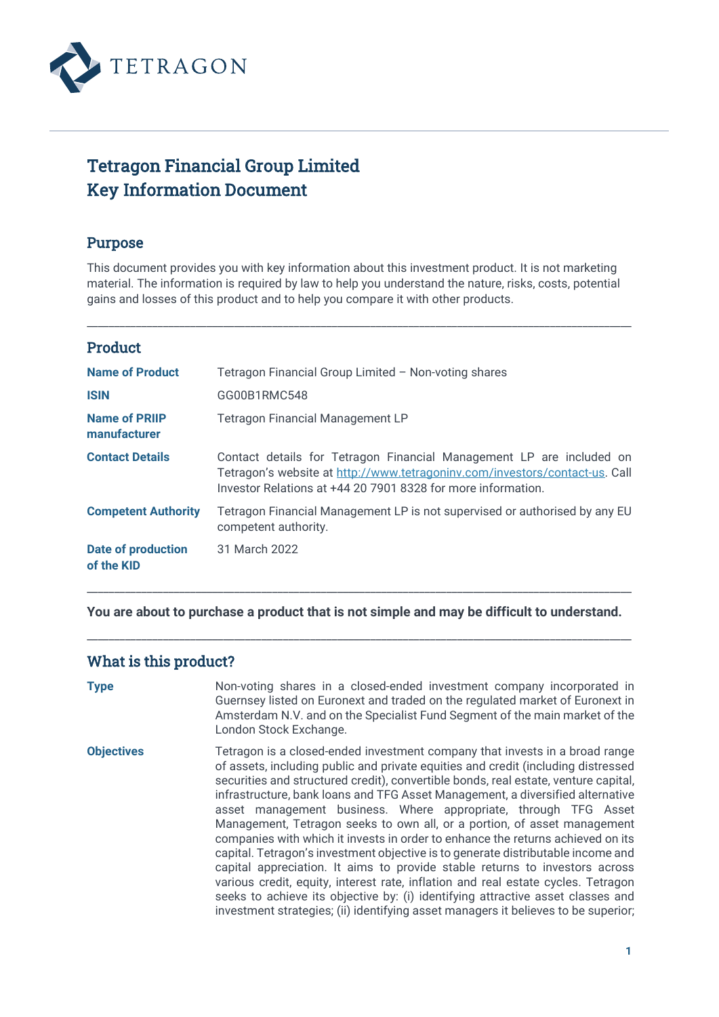

# Tetragon Financial Group Limited Key Information Document

## Purpose

This document provides you with key information about this investment product. It is not marketing material. The information is required by law to help you understand the nature, risks, costs, potential gains and losses of this product and to help you compare it with other products.

\_\_\_\_\_\_\_\_\_\_\_\_\_\_\_\_\_\_\_\_\_\_\_\_\_\_\_\_\_\_\_\_\_\_\_\_\_\_\_\_\_\_\_\_\_\_\_\_\_\_\_\_\_\_\_\_\_\_\_\_\_\_\_\_\_\_\_\_\_\_\_\_\_\_\_\_\_\_\_\_\_\_\_\_\_\_\_\_\_\_\_\_\_\_\_\_\_\_\_\_

## Product

| <b>Name of Product</b>                  | Tetragon Financial Group Limited - Non-voting shares                                                                                                                                                                |
|-----------------------------------------|---------------------------------------------------------------------------------------------------------------------------------------------------------------------------------------------------------------------|
| <b>ISIN</b>                             | GG00B1RMC548                                                                                                                                                                                                        |
| <b>Name of PRIIP</b><br>manufacturer    | <b>Tetragon Financial Management LP</b>                                                                                                                                                                             |
| <b>Contact Details</b>                  | Contact details for Tetragon Financial Management LP are included on<br>Tetragon's website at http://www.tetragoninv.com/investors/contact-us. Call<br>Investor Relations at +44 20 7901 8328 for more information. |
| <b>Competent Authority</b>              | Tetragon Financial Management LP is not supervised or authorised by any EU<br>competent authority.                                                                                                                  |
| <b>Date of production</b><br>of the KID | 31 March 2022                                                                                                                                                                                                       |

**You are about to purchase a product that is not simple and may be difficult to understand.** 

\_\_\_\_\_\_\_\_\_\_\_\_\_\_\_\_\_\_\_\_\_\_\_\_\_\_\_\_\_\_\_\_\_\_\_\_\_\_\_\_\_\_\_\_\_\_\_\_\_\_\_\_\_\_\_\_\_\_\_\_\_\_\_\_\_\_\_\_\_\_\_\_\_\_\_\_\_\_\_\_\_\_\_\_\_\_\_\_\_\_\_\_\_\_\_\_\_\_\_\_

\_\_\_\_\_\_\_\_\_\_\_\_\_\_\_\_\_\_\_\_\_\_\_\_\_\_\_\_\_\_\_\_\_\_\_\_\_\_\_\_\_\_\_\_\_\_\_\_\_\_\_\_\_\_\_\_\_\_\_\_\_\_\_\_\_\_\_\_\_\_\_\_\_\_\_\_\_\_\_\_\_\_\_\_\_\_\_\_\_\_\_\_\_\_\_\_\_\_\_\_

## What is this product?

| <b>Type</b>       | Non-voting shares in a closed-ended investment company incorporated in<br>Guernsey listed on Euronext and traded on the regulated market of Euronext in<br>Amsterdam N.V. and on the Specialist Fund Segment of the main market of the<br>London Stock Exchange.                                                                                                                                                                                                                                                                                                                                                                                                                                                                                                                                                                                                                                                                                                                                             |
|-------------------|--------------------------------------------------------------------------------------------------------------------------------------------------------------------------------------------------------------------------------------------------------------------------------------------------------------------------------------------------------------------------------------------------------------------------------------------------------------------------------------------------------------------------------------------------------------------------------------------------------------------------------------------------------------------------------------------------------------------------------------------------------------------------------------------------------------------------------------------------------------------------------------------------------------------------------------------------------------------------------------------------------------|
| <b>Objectives</b> | Tetragon is a closed-ended investment company that invests in a broad range<br>of assets, including public and private equities and credit (including distressed<br>securities and structured credit), convertible bonds, real estate, venture capital,<br>infrastructure, bank loans and TFG Asset Management, a diversified alternative<br>asset management business. Where appropriate, through TFG Asset<br>Management, Tetragon seeks to own all, or a portion, of asset management<br>companies with which it invests in order to enhance the returns achieved on its<br>capital. Tetragon's investment objective is to generate distributable income and<br>capital appreciation. It aims to provide stable returns to investors across<br>various credit, equity, interest rate, inflation and real estate cycles. Tetragon<br>seeks to achieve its objective by: (i) identifying attractive asset classes and<br>investment strategies; (ii) identifying asset managers it believes to be superior; |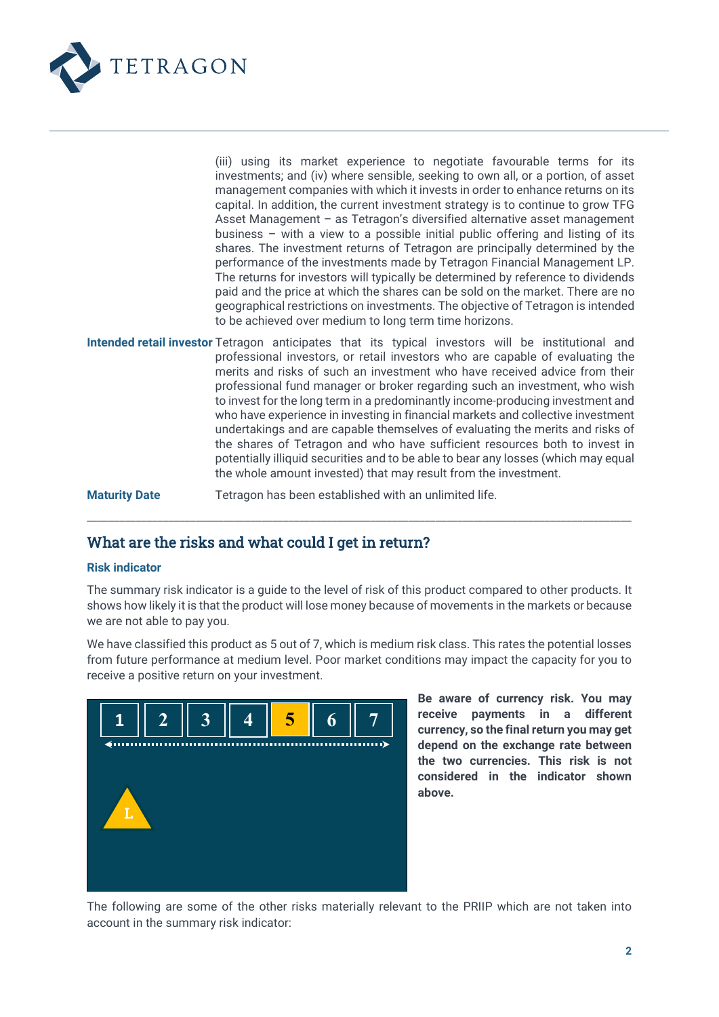

|                      | (iii) using its market experience to negotiate favourable terms for its<br>investments; and (iv) where sensible, seeking to own all, or a portion, of asset<br>management companies with which it invests in order to enhance returns on its<br>capital. In addition, the current investment strategy is to continue to grow TFG<br>Asset Management - as Tetragon's diversified alternative asset management<br>business - with a view to a possible initial public offering and listing of its<br>shares. The investment returns of Tetragon are principally determined by the<br>performance of the investments made by Tetragon Financial Management LP.<br>The returns for investors will typically be determined by reference to dividends<br>paid and the price at which the shares can be sold on the market. There are no<br>geographical restrictions on investments. The objective of Tetragon is intended<br>to be achieved over medium to long term time horizons. |
|----------------------|---------------------------------------------------------------------------------------------------------------------------------------------------------------------------------------------------------------------------------------------------------------------------------------------------------------------------------------------------------------------------------------------------------------------------------------------------------------------------------------------------------------------------------------------------------------------------------------------------------------------------------------------------------------------------------------------------------------------------------------------------------------------------------------------------------------------------------------------------------------------------------------------------------------------------------------------------------------------------------|
|                      | Intended retail investor Tetragon anticipates that its typical investors will be institutional and<br>professional investors, or retail investors who are capable of evaluating the<br>merits and risks of such an investment who have received advice from their<br>professional fund manager or broker regarding such an investment, who wish<br>to invest for the long term in a predominantly income-producing investment and<br>who have experience in investing in financial markets and collective investment<br>undertakings and are capable themselves of evaluating the merits and risks of<br>the shares of Tetragon and who have sufficient resources both to invest in<br>potentially illiquid securities and to be able to bear any losses (which may equal<br>the whole amount invested) that may result from the investment.                                                                                                                                    |
| <b>Maturity Date</b> | Tetragon has been established with an unlimited life.                                                                                                                                                                                                                                                                                                                                                                                                                                                                                                                                                                                                                                                                                                                                                                                                                                                                                                                           |

### What are the risks and what could I get in return?

### **Risk indicator**

The summary risk indicator is a guide to the level of risk of this product compared to other products. It shows how likely it is that the product will lose money because of movements in the markets or because we are not able to pay you.

\_\_\_\_\_\_\_\_\_\_\_\_\_\_\_\_\_\_\_\_\_\_\_\_\_\_\_\_\_\_\_\_\_\_\_\_\_\_\_\_\_\_\_\_\_\_\_\_\_\_\_\_\_\_\_\_\_\_\_\_\_\_\_\_\_\_\_\_\_\_\_\_\_\_\_\_\_\_\_\_\_\_\_\_\_\_\_\_\_\_\_\_\_\_\_\_\_\_\_\_

We have classified this product as 5 out of 7, which is medium risk class. This rates the potential losses from future performance at medium level. Poor market conditions may impact the capacity for you to receive a positive return on your investment.



**Be aware of currency risk. You may receive payments in a different currency, so the final return you may get depend on the exchange rate between the two currencies. This risk is not considered in the indicator shown above.**

The following are some of the other risks materially relevant to the PRIIP which are not taken into account in the summary risk indicator: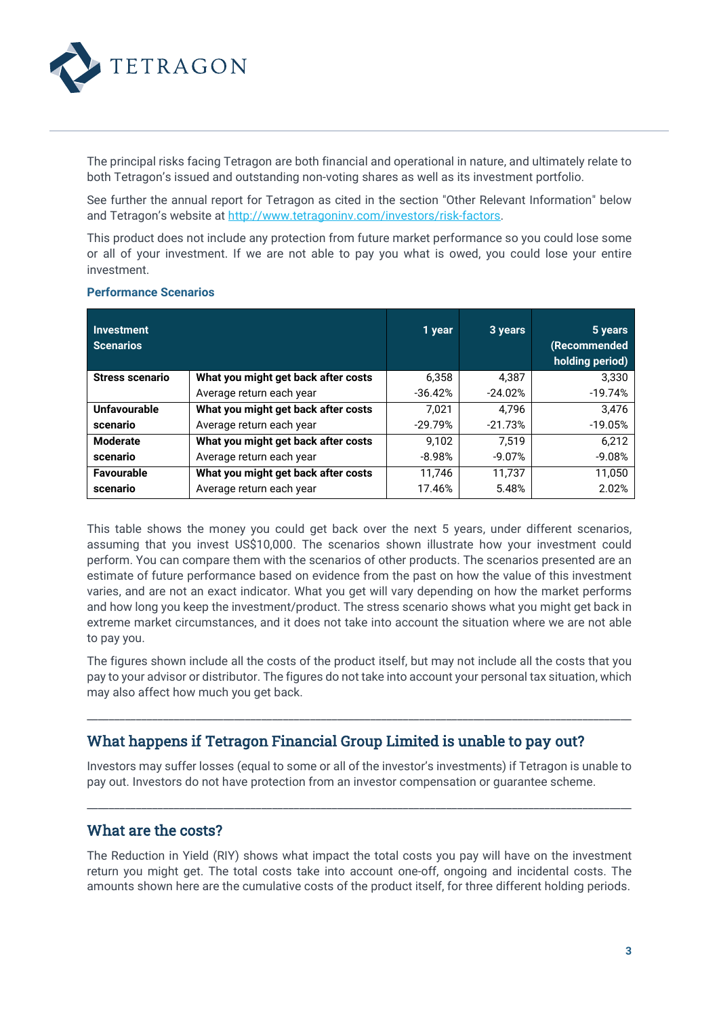

The principal risks facing Tetragon are both financial and operational in nature, and ultimately relate to both Tetragon's issued and outstanding non-voting shares as well as its investment portfolio.

See further the annual report for Tetragon as cited in the section "Other Relevant Information" below and Tetragon's website at [http://www.tetragoninv.com/investors/risk-factors.](http://www.tetragoninv.com/investors/risk-factors)

This product does not include any protection from future market performance so you could lose some or all of your investment. If we are not able to pay you what is owed, you could lose your entire investment.

| Investment<br><b>Scenarios</b> |                                     | 1 year    | 3 years   | 5 years<br>(Recommended<br>holding period) |
|--------------------------------|-------------------------------------|-----------|-----------|--------------------------------------------|
| <b>Stress scenario</b>         | What you might get back after costs | 6,358     | 4.387     | 3.330                                      |
|                                | Average return each year            | $-36.42%$ | $-24.02%$ | $-19.74%$                                  |
| Unfavourable                   | What you might get back after costs | 7.021     | 4.796     | 3.476                                      |
| scenario                       | Average return each year            | $-29.79%$ | $-21.73%$ | $-19.05%$                                  |
| <b>Moderate</b>                | What you might get back after costs | 9.102     | 7.519     | 6,212                                      |
| scenario                       | Average return each year            | $-8.98%$  | $-9.07%$  | $-9.08%$                                   |
| Favourable                     | What you might get back after costs | 11.746    | 11.737    | 11.050                                     |
| scenario                       | Average return each year            | 17.46%    | 5.48%     | 2.02%                                      |

#### **Performance Scenarios**

This table shows the money you could get back over the next 5 years, under different scenarios, assuming that you invest US\$10,000. The scenarios shown illustrate how your investment could perform. You can compare them with the scenarios of other products. The scenarios presented are an estimate of future performance based on evidence from the past on how the value of this investment varies, and are not an exact indicator. What you get will vary depending on how the market performs and how long you keep the investment/product. The stress scenario shows what you might get back in extreme market circumstances, and it does not take into account the situation where we are not able to pay you.

The figures shown include all the costs of the product itself, but may not include all the costs that you pay to your advisor or distributor. The figures do not take into account your personal tax situation, which may also affect how much you get back.

\_\_\_\_\_\_\_\_\_\_\_\_\_\_\_\_\_\_\_\_\_\_\_\_\_\_\_\_\_\_\_\_\_\_\_\_\_\_\_\_\_\_\_\_\_\_\_\_\_\_\_\_\_\_\_\_\_\_\_\_\_\_\_\_\_\_\_\_\_\_\_\_\_\_\_\_\_\_\_\_\_\_\_\_\_\_\_\_\_\_\_\_\_\_\_\_\_\_\_\_

### What happens if Tetragon Financial Group Limited is unable to pay out?

Investors may suffer losses (equal to some or all of the investor's investments) if Tetragon is unable to pay out. Investors do not have protection from an investor compensation or guarantee scheme.

\_\_\_\_\_\_\_\_\_\_\_\_\_\_\_\_\_\_\_\_\_\_\_\_\_\_\_\_\_\_\_\_\_\_\_\_\_\_\_\_\_\_\_\_\_\_\_\_\_\_\_\_\_\_\_\_\_\_\_\_\_\_\_\_\_\_\_\_\_\_\_\_\_\_\_\_\_\_\_\_\_\_\_\_\_\_\_\_\_\_\_\_\_\_\_\_\_\_\_\_

### What are the costs?

The Reduction in Yield (RIY) shows what impact the total costs you pay will have on the investment return you might get. The total costs take into account one-off, ongoing and incidental costs. The amounts shown here are the cumulative costs of the product itself, for three different holding periods.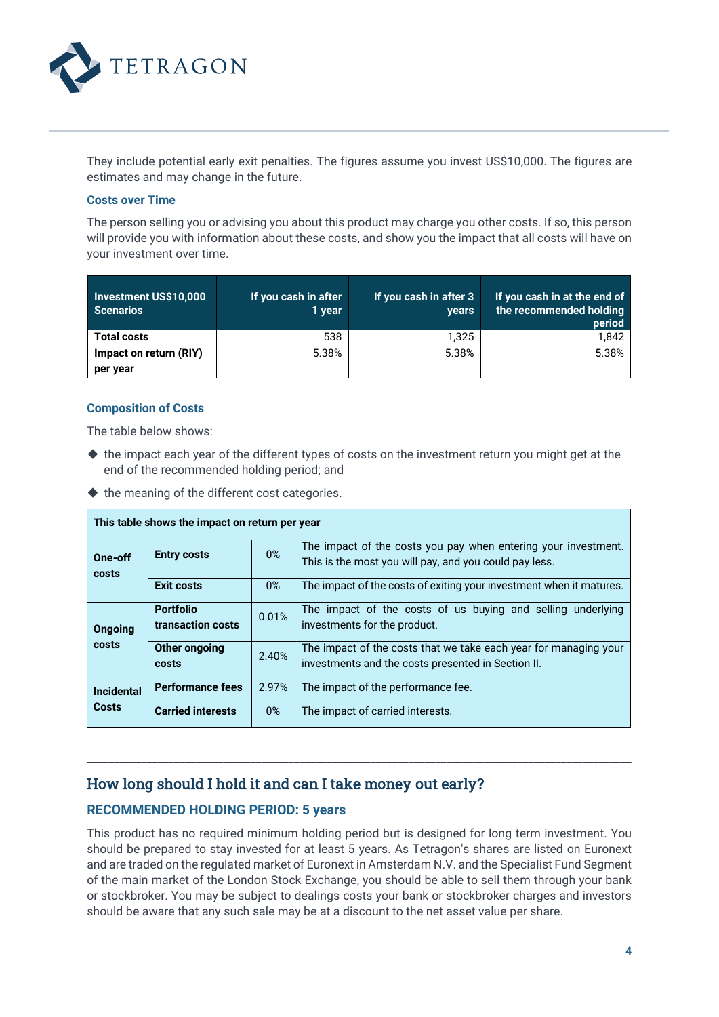

They include potential early exit penalties. The figures assume you invest US\$10,000. The figures are estimates and may change in the future.

#### **Costs over Time**

The person selling you or advising you about this product may charge you other costs. If so, this person will provide you with information about these costs, and show you the impact that all costs will have on your investment over time.

| Investment US\$10,000<br><b>Scenarios</b> | If you cash in after<br>1 year | If you cash in after 3<br><b>vears</b> | If you cash in at the end of<br>the recommended holding<br>period |
|-------------------------------------------|--------------------------------|----------------------------------------|-------------------------------------------------------------------|
| <b>Total costs</b>                        | 538                            | 1.325                                  | 1.842                                                             |
| Impact on return (RIY)                    | 5.38%                          | 5.38%                                  | 5.38%                                                             |
| per year                                  |                                |                                        |                                                                   |

### **Composition of Costs**

The table below shows:

- the impact each year of the different types of costs on the investment return you might get at the end of the recommended holding period; and
- $\blacklozenge$  the meaning of the different cost categories.

| This table shows the impact on return per year |                                       |       |                                                                                                                          |
|------------------------------------------------|---------------------------------------|-------|--------------------------------------------------------------------------------------------------------------------------|
| One-off<br>costs                               | <b>Entry costs</b>                    | $0\%$ | The impact of the costs you pay when entering your investment.<br>This is the most you will pay, and you could pay less. |
|                                                | <b>Exit costs</b>                     | $0\%$ | The impact of the costs of exiting your investment when it matures.                                                      |
| Ongoing<br>costs                               | <b>Portfolio</b><br>transaction costs | 0.01% | The impact of the costs of us buying and selling underlying<br>investments for the product.                              |
|                                                | Other ongoing<br>costs                | 2.40% | The impact of the costs that we take each year for managing your<br>investments and the costs presented in Section II.   |
| <b>Incidental</b><br>Costs                     | <b>Performance fees</b>               | 2.97% | The impact of the performance fee.                                                                                       |
|                                                | <b>Carried interests</b>              | $0\%$ | The impact of carried interests.                                                                                         |

### How long should I hold it and can I take money out early?

### **RECOMMENDED HOLDING PERIOD: 5 years**

This product has no required minimum holding period but is designed for long term investment. You should be prepared to stay invested for at least 5 years. As Tetragon's shares are listed on Euronext and are traded on the regulated market of Euronext in Amsterdam N.V. and the Specialist Fund Segment of the main market of the London Stock Exchange, you should be able to sell them through your bank or stockbroker. You may be subject to dealings costs your bank or stockbroker charges and investors should be aware that any such sale may be at a discount to the net asset value per share.

\_\_\_\_\_\_\_\_\_\_\_\_\_\_\_\_\_\_\_\_\_\_\_\_\_\_\_\_\_\_\_\_\_\_\_\_\_\_\_\_\_\_\_\_\_\_\_\_\_\_\_\_\_\_\_\_\_\_\_\_\_\_\_\_\_\_\_\_\_\_\_\_\_\_\_\_\_\_\_\_\_\_\_\_\_\_\_\_\_\_\_\_\_\_\_\_\_\_\_\_